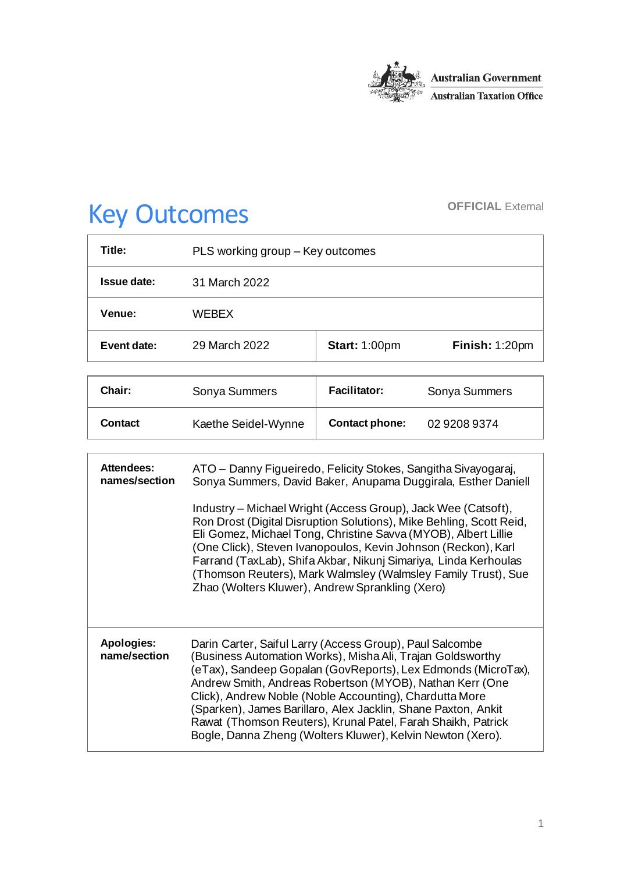

# Key Outcomes **OFFICIAL External**

| Title:      | PLS working group - Key outcomes |                      |                |
|-------------|----------------------------------|----------------------|----------------|
| Issue date: | 31 March 2022                    |                      |                |
| Venue:      | <b>WFBFX</b>                     |                      |                |
| Event date: | 29 March 2022                    | <b>Start: 1:00pm</b> | Finish: 1:20pm |

| <b>Chair:</b> | Sonya Summers       | <b>Facilitator:</b>   | Sonya Summers |
|---------------|---------------------|-----------------------|---------------|
| Contact       | Kaethe Seidel-Wynne | <b>Contact phone:</b> | 02 9208 9374  |

| <b>Attendees:</b><br>names/section | ATO – Danny Figueiredo, Felicity Stokes, Sangitha Sivayogaraj,<br>Sonya Summers, David Baker, Anupama Duggirala, Esther Daniell                                                                                                                                                                                                                                                                                                                                                                               |
|------------------------------------|---------------------------------------------------------------------------------------------------------------------------------------------------------------------------------------------------------------------------------------------------------------------------------------------------------------------------------------------------------------------------------------------------------------------------------------------------------------------------------------------------------------|
|                                    | Industry – Michael Wright (Access Group), Jack Wee (Catsoft),<br>Ron Drost (Digital Disruption Solutions), Mike Behling, Scott Reid,<br>Eli Gomez, Michael Tong, Christine Savva (MYOB), Albert Lillie<br>(One Click), Steven Ivanopoulos, Kevin Johnson (Reckon), Karl<br>Farrand (TaxLab), Shifa Akbar, Nikunj Simariya, Linda Kerhoulas<br>(Thomson Reuters), Mark Walmsley (Walmsley Family Trust), Sue<br>Zhao (Wolters Kluwer), Andrew Sprankling (Xero)                                                |
| Apologies:<br>name/section         | Darin Carter, Saiful Larry (Access Group), Paul Salcombe<br>(Business Automation Works), Misha Ali, Trajan Goldsworthy<br>(eTax), Sandeep Gopalan (GovReports), Lex Edmonds (MicroTax),<br>Andrew Smith, Andreas Robertson (MYOB), Nathan Kerr (One<br>Click), Andrew Noble (Noble Accounting), Chardutta More<br>(Sparken), James Barillaro, Alex Jacklin, Shane Paxton, Ankit<br>Rawat (Thomson Reuters), Krunal Patel, Farah Shaikh, Patrick<br>Bogle, Danna Zheng (Wolters Kluwer), Kelvin Newton (Xero). |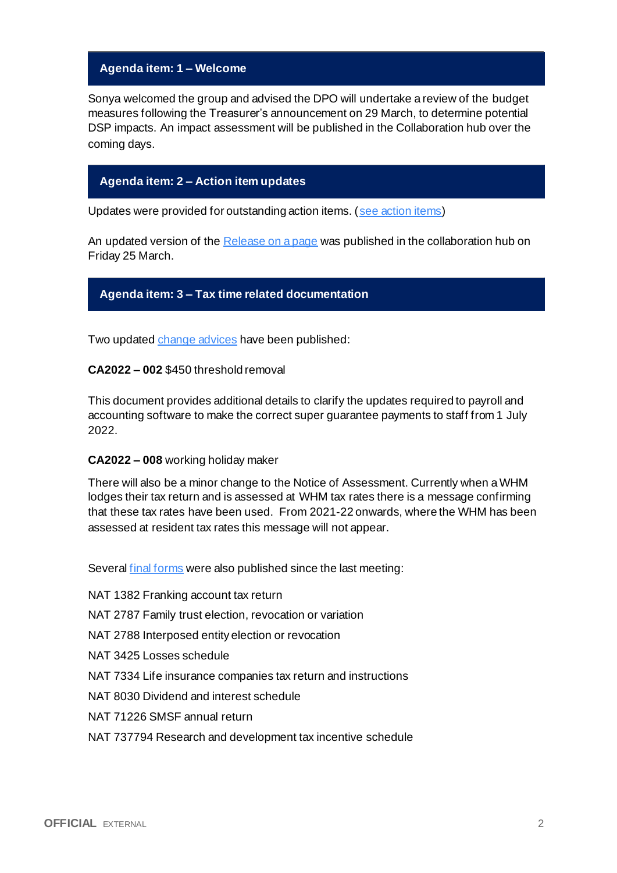### **Agenda item: 1 – Welcome**

Sonya welcomed the group and advised the DPO will undertake a review of the budget measures following the Treasurer's announcement on 29 March, to determine potential DSP impacts. An impact assessment will be published in the Collaboration hub over the coming days.

# **Agenda item: 2 – Action item updates**

Updates were provided for outstanding action items. [\(see action items\)](https://developer.sbr.gov.au/collaborate/display/DSPCOLLAB/PLSWG+action+items)

An updated version of th[e Release on a page](https://developer.sbr.gov.au/collaborate/download/attachments/121251987/FY_2021_2022_Release_on_a_page_v0.4.pdf?api=v2) was published in the collaboration hub on Friday 25 March.

#### **Agenda item: 3 – Tax time related documentation**

Two update[d change advices](https://developer.sbr.gov.au/collaborate/display/DSPCOLLAB/Controlled+information) have been published:

**CA2022 – 002** \$450 threshold removal

This document provides additional details to clarify the updates required to payroll and accounting software to make the correct super guarantee payments to staff from 1 July 2022.

#### **CA2022 – 008** working holiday maker

There will also be a minor change to the Notice of Assessment. Currently when a WHM lodges their tax return and is assessed at WHM tax rates there is a message confirming that these tax rates have been used. From 2021-22 onwards, where the WHM has been assessed at resident tax rates this message will not appear.

Several [final forms](https://developer.sbr.gov.au/collaborate/display/DSPCOLLAB/Final+tax+return+stationery+2022) were also published since the last meeting:

- NAT 1382 Franking account tax return
- NAT 2787 Family trust election, revocation or variation
- NAT 2788 Interposed entity election or revocation
- NAT 3425 Losses schedule
- NAT 7334 Life insurance companies tax return and instructions
- NAT 8030 Dividend and interest schedule
- NAT 71226 SMSF annual return
- NAT 737794 Research and development tax incentive schedule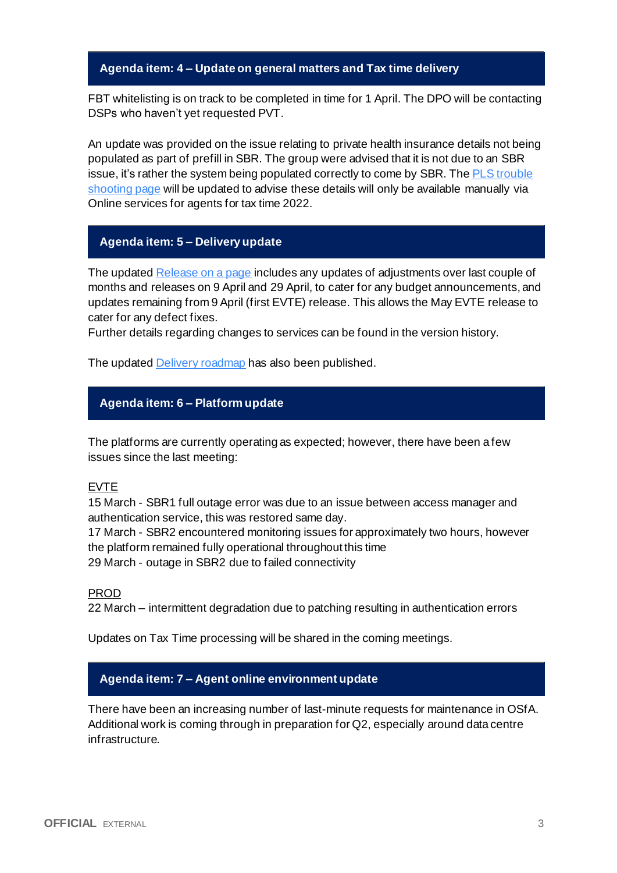### **Agenda item: 4 – Update on general matters and Tax time delivery**

FBT whitelisting is on track to be completed in time for 1 April. The DPO will be contacting DSPs who haven't yet requested PVT.

An update was provided on the issue relating to private health insurance details not being populated as part of prefill in SBR. The group were advised that it is not due to an SBR issue, it's rather the system being populated correctly to come by SBR. The PLS [trouble](https://www.ato.gov.au/General/online-services/technical-support/troubleshooting-for-businesses-and-tax-practitioners/)  [shooting page](https://www.ato.gov.au/General/online-services/technical-support/troubleshooting-for-businesses-and-tax-practitioners/) will be updated to advise these details will only be available manually via Online services for agents for tax time 2022.

# **Agenda item: 5 – Delivery update**

The updated [Release on a page](https://developer.sbr.gov.au/collaborate/download/attachments/121251987/FY_2021_2022_Release_on_a_page_v0.4.pdf?api=v2) includes any updates of adjustments over last couple of months and releases on 9 April and 29 April, to cater for any budget announcements, and updates remaining from 9 April (first EVTE) release. This allows the May EVTE release to cater for any defect fixes.

Further details regarding changes to services can be found in the version history.

The updated [Delivery roadmap](https://developer.sbr.gov.au/collaborate/x/7YACEg) has also been published.

# **Agenda item: 6 – Platform update**

The platforms are currently operating as expected; however, there have been a few issues since the last meeting:

#### EVTE

15 March - SBR1 full outage error was due to an issue between access manager and authentication service, this was restored same day.

17 March - SBR2 encountered monitoring issues for approximately two hours, however the platform remained fully operational throughout this time 29 March - outage in SBR2 due to failed connectivity

PROD

22 March – intermittent degradation due to patching resulting in authentication errors

Updates on Tax Time processing will be shared in the coming meetings.

# **Agenda item: 7 – Agent online environment update**

There have been an increasing number of last-minute requests for maintenance in OSfA. Additional work is coming through in preparation for Q2, especially around data centre infrastructure.